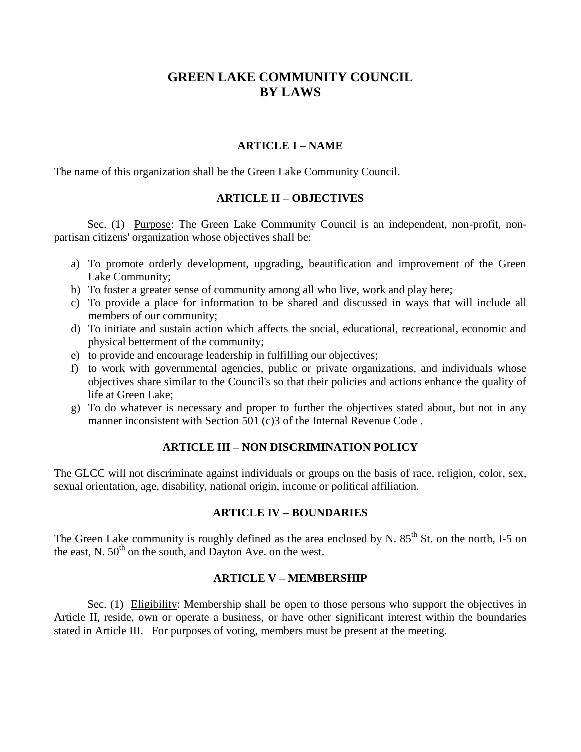# **GREEN LAKE COMMUNITY COUNCIL BY LAWS**

## **ARTICLE I – NAME**

The name of this organization shall be the Green Lake Community Council.

# **ARTICLE II – OBJECTIVES**

Sec. (1) Purpose: The Green Lake Community Council is an independent, non-profit, nonpartisan citizens' organization whose objectives shall be:

- a) To promote orderly development, upgrading, beautification and improvement of the Green Lake Community;
- b) To foster a greater sense of community among all who live, work and play here;
- c) To provide a place for information to be shared and discussed in ways that will include all members of our community;
- d) To initiate and sustain action which affects the social, educational, recreational, economic and physical betterment of the community;
- e) to provide and encourage leadership in fulfilling our objectives;
- f) to work with governmental agencies, public or private organizations, and individuals whose objectives share similar to the Council's so that their policies and actions enhance the quality of life at Green Lake;
- g) To do whatever is necessary and proper to further the objectives stated about, but not in any manner inconsistent with Section 501 (c)3 of the Internal Revenue Code .

## **ARTICLE III – NON DISCRIMINATION POLICY**

The GLCC will not discriminate against individuals or groups on the basis of race, religion, color, sex, sexual orientation, age, disability, national origin, income or political affiliation.

# **ARTICLE IV – BOUNDARIES**

The Green Lake community is roughly defined as the area enclosed by N.  $85<sup>th</sup>$  St. on the north, I-5 on the east, N.  $50<sup>th</sup>$  on the south, and Dayton Ave. on the west.

## **ARTICLE V – MEMBERSHIP**

Sec. (1) Eligibility: Membership shall be open to those persons who support the objectives in Article II, reside, own or operate a business, or have other significant interest within the boundaries stated in Article III. For purposes of voting, members must be present at the meeting.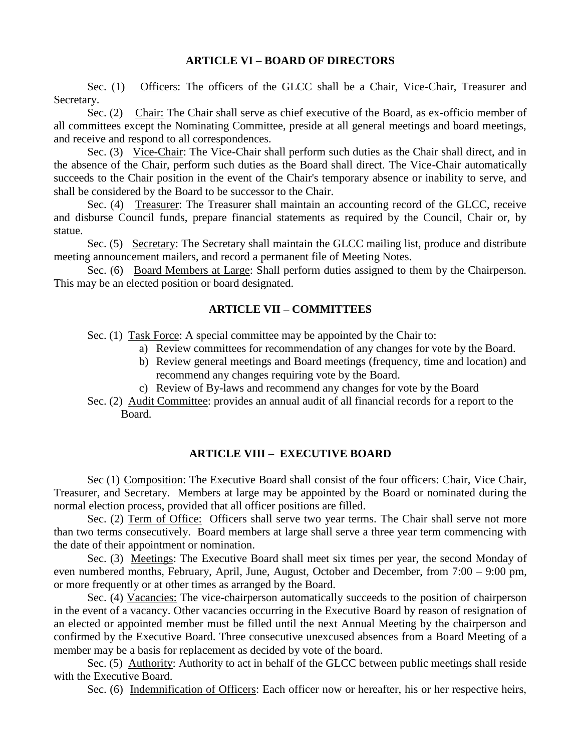## **ARTICLE VI – BOARD OF DIRECTORS**

Sec. (1) Officers: The officers of the GLCC shall be a Chair, Vice-Chair, Treasurer and Secretary.

Sec. (2) Chair: The Chair shall serve as chief executive of the Board, as ex-officio member of all committees except the Nominating Committee, preside at all general meetings and board meetings, and receive and respond to all correspondences.

Sec. (3) Vice-Chair: The Vice-Chair shall perform such duties as the Chair shall direct, and in the absence of the Chair, perform such duties as the Board shall direct. The Vice-Chair automatically succeeds to the Chair position in the event of the Chair's temporary absence or inability to serve, and shall be considered by the Board to be successor to the Chair.

Sec. (4) Treasurer: The Treasurer shall maintain an accounting record of the GLCC, receive and disburse Council funds, prepare financial statements as required by the Council, Chair or, by statue.

Sec. (5) Secretary: The Secretary shall maintain the GLCC mailing list, produce and distribute meeting announcement mailers, and record a permanent file of Meeting Notes.

Sec. (6) Board Members at Large: Shall perform duties assigned to them by the Chairperson. This may be an elected position or board designated.

## **ARTICLE VII – COMMITTEES**

Sec. (1) Task Force: A special committee may be appointed by the Chair to:

- a) Review committees for recommendation of any changes for vote by the Board.
- b) Review general meetings and Board meetings (frequency, time and location) and recommend any changes requiring vote by the Board.
- c) Review of By-laws and recommend any changes for vote by the Board
- Sec. (2) Audit Committee: provides an annual audit of all financial records for a report to the Board.

## **ARTICLE VIII – EXECUTIVE BOARD**

Sec (1) Composition: The Executive Board shall consist of the four officers: Chair, Vice Chair, Treasurer, and Secretary. Members at large may be appointed by the Board or nominated during the normal election process, provided that all officer positions are filled.

Sec. (2) Term of Office: Officers shall serve two year terms. The Chair shall serve not more than two terms consecutively. Board members at large shall serve a three year term commencing with the date of their appointment or nomination.

Sec. (3) Meetings: The Executive Board shall meet six times per year, the second Monday of even numbered months, February, April, June, August, October and December, from 7:00 – 9:00 pm, or more frequently or at other times as arranged by the Board.

Sec. (4) Vacancies: The vice-chairperson automatically succeeds to the position of chairperson in the event of a vacancy. Other vacancies occurring in the Executive Board by reason of resignation of an elected or appointed member must be filled until the next Annual Meeting by the chairperson and confirmed by the Executive Board. Three consecutive unexcused absences from a Board Meeting of a member may be a basis for replacement as decided by vote of the board.

Sec. (5) Authority: Authority to act in behalf of the GLCC between public meetings shall reside with the Executive Board.

Sec. (6) Indemnification of Officers: Each officer now or hereafter, his or her respective heirs,